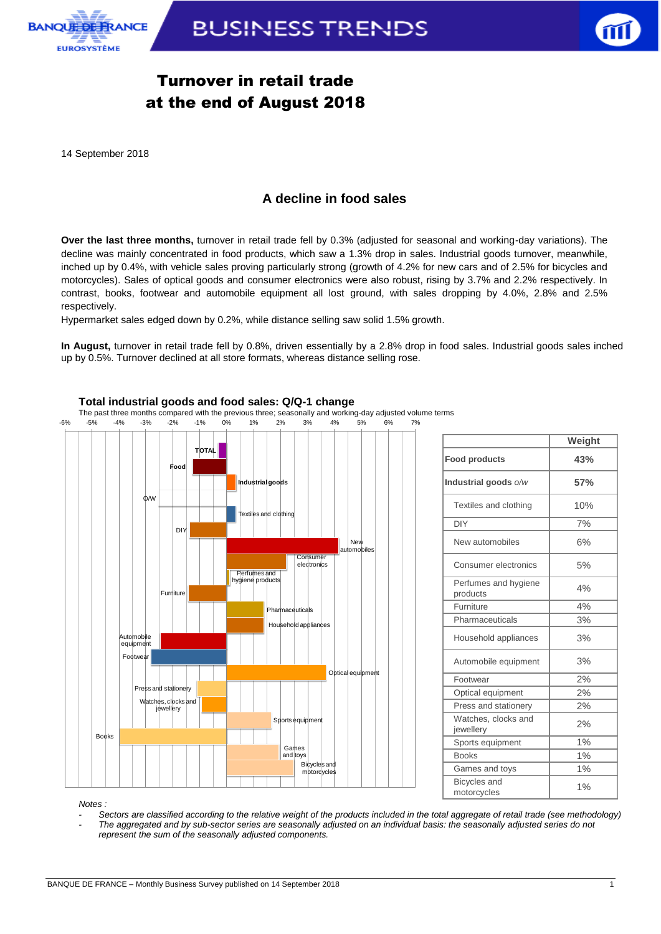



## Turnover in retail trade at the end of August 2018

14 September 2018

### **A decline in food sales**

**Over the last three months,** turnover in retail trade fell by 0.3% (adjusted for seasonal and working-day variations). The decline was mainly concentrated in food products, which saw a 1.3% drop in sales. Industrial goods turnover, meanwhile, inched up by 0.4%, with vehicle sales proving particularly strong (growth of 4.2% for new cars and of 2.5% for bicycles and motorcycles). Sales of optical goods and consumer electronics were also robust, rising by 3.7% and 2.2% respectively. In contrast, books, footwear and automobile equipment all lost ground, with sales dropping by 4.0%, 2.8% and 2.5% respectively.

Hypermarket sales edged down by 0.2%, while distance selling saw solid 1.5% growth.

**In August,** turnover in retail trade fell by 0.8%, driven essentially by a 2.8% drop in food sales. Industrial goods sales inched up by 0.5%. Turnover declined at all store formats, whereas distance selling rose.





*Notes :* 

*- Sectors are classified according to the relative weight of the products included in the total aggregate of retail trade (see methodology) - The aggregated and by sub-sector series are seasonally adjusted on an individual basis: the seasonally adjusted series do not represent the sum of the seasonally adjusted components.*

#### **Total industrial goods and food sales: Q/Q-1 change**

The past three months compared with the previous three; seasonally and working-day adjusted volume terms